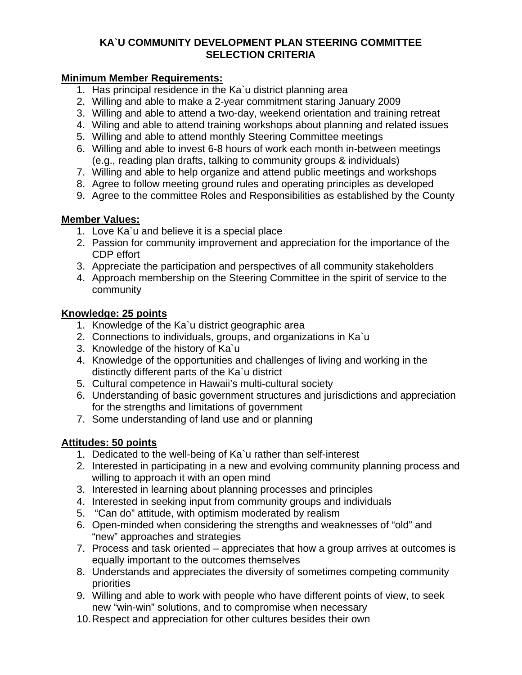### **KA`U COMMUNITY DEVELOPMENT PLAN STEERING COMMITTEE SELECTION CRITERIA**

#### **Minimum Member Requirements:**

- 1. Has principal residence in the Ka`u district planning area
- 2. Willing and able to make a 2-year commitment staring January 2009
- 3. Willing and able to attend a two-day, weekend orientation and training retreat
- 4. Wiling and able to attend training workshops about planning and related issues
- 5. Willing and able to attend monthly Steering Committee meetings
- 6. Willing and able to invest 6-8 hours of work each month in-between meetings (e.g., reading plan drafts, talking to community groups & individuals)
- 7. Willing and able to help organize and attend public meetings and workshops
- 8. Agree to follow meeting ground rules and operating principles as developed
- 9. Agree to the committee Roles and Responsibilities as established by the County

# **Member Values:**

- 1. Love Ka`u and believe it is a special place
- 2. Passion for community improvement and appreciation for the importance of the CDP effort
- 3. Appreciate the participation and perspectives of all community stakeholders
- 4. Approach membership on the Steering Committee in the spirit of service to the community

### **Knowledge: 25 points**

- 1. Knowledge of the Ka`u district geographic area
- 2. Connections to individuals, groups, and organizations in Ka`u
- 3. Knowledge of the history of Ka`u
- 4. Knowledge of the opportunities and challenges of living and working in the distinctly different parts of the Ka`u district
- 5. Cultural competence in Hawaii's multi-cultural society
- 6. Understanding of basic government structures and jurisdictions and appreciation for the strengths and limitations of government
- 7. Some understanding of land use and or planning

# **Attitudes: 50 points**

- 1. Dedicated to the well-being of Ka`u rather than self-interest
- 2. Interested in participating in a new and evolving community planning process and willing to approach it with an open mind
- 3. Interested in learning about planning processes and principles
- 4. Interested in seeking input from community groups and individuals
- 5. "Can do" attitude, with optimism moderated by realism
- 6. Open-minded when considering the strengths and weaknesses of "old" and "new" approaches and strategies
- 7. Process and task oriented appreciates that how a group arrives at outcomes is equally important to the outcomes themselves
- 8. Understands and appreciates the diversity of sometimes competing community priorities
- 9. Willing and able to work with people who have different points of view, to seek new "win-win" solutions, and to compromise when necessary
- 10. Respect and appreciation for other cultures besides their own